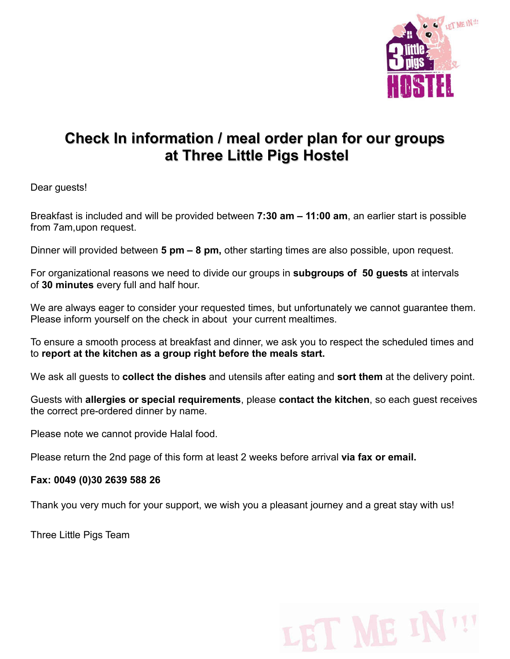

## Check In information / meal order plan for our groups at Three Little Pigs Hostel

Dear guests!

Breakfast is included and will be provided between 7:30 am – 11:00 am, an earlier start is possible from 7am,upon request.

Dinner will provided between 5 pm – 8 pm, other starting times are also possible, upon request.

For organizational reasons we need to divide our groups in **subgroups of 50 guests** at intervals of 30 minutes every full and half hour.

We are always eager to consider your requested times, but unfortunately we cannot guarantee them. Please inform yourself on the check in about your current mealtimes.

To ensure a smooth process at breakfast and dinner, we ask you to respect the scheduled times and to report at the kitchen as a group right before the meals start.

We ask all quests to **collect the dishes** and utensils after eating and **sort them** at the delivery point.

Guests with allergies or special requirements, please contact the kitchen, so each quest receives the correct pre-ordered dinner by name.

Please note we cannot provide Halal food.

Please return the 2nd page of this form at least 2 weeks before arrival via fax or email.

Fax: 0049 (0)30 2639 588 26

Thank you very much for your support, we wish you a pleasant journey and a great stay with us!

Three Little Pigs Team